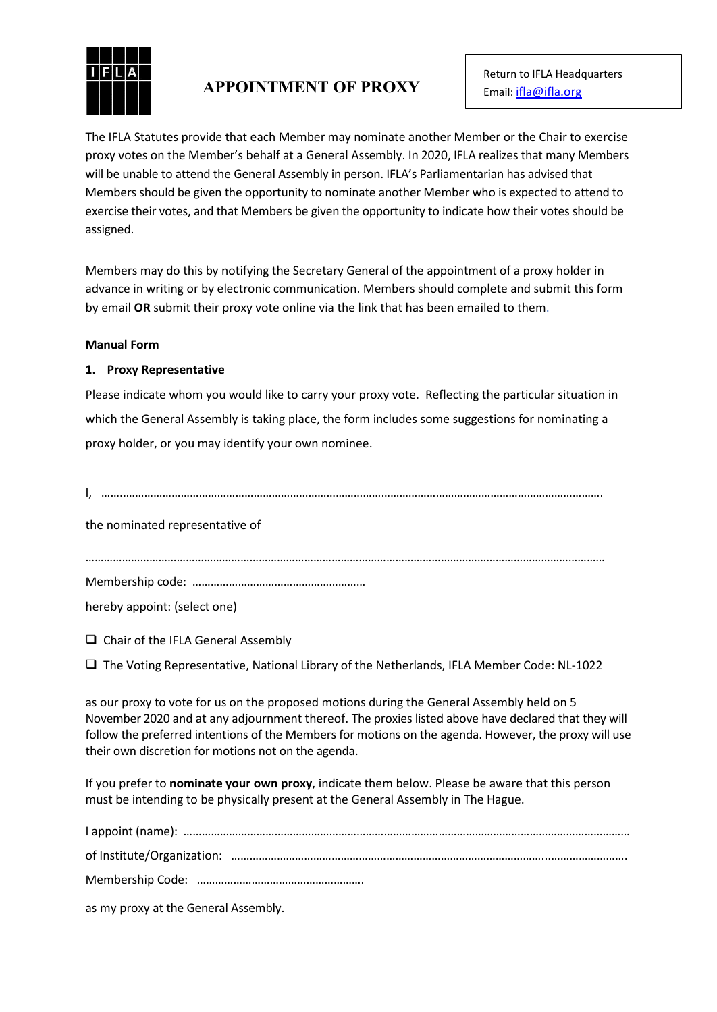

# **APPOINTMENT OF PROXY**

The IFLA Statutes provide that each Member may nominate another Member or the Chair to exercise proxy votes on the Member's behalf at a General Assembly. In 2020, IFLA realizes that many Members will be unable to attend the General Assembly in person. IFLA's Parliamentarian has advised that Members should be given the opportunity to nominate another Member who is expected to attend to exercise their votes, and that Members be given the opportunity to indicate how their votes should be assigned.

Members may do this by notifying the Secretary General of the appointment of a proxy holder in advance in writing or by electronic communication. Members should complete and submit this form by email **OR** submit their proxy vote online via the link that has been emailed to them.

### **Manual Form**

# **1. Proxy Representative**

Please indicate whom you would like to carry your proxy vote. Reflecting the particular situation in which the General Assembly is taking place, the form includes some suggestions for nominating a proxy holder, or you may identify your own nominee.

I, ……..………………………………………………………………………………………………………………………………………….

the nominated representative of

………………………………………………………………………………………………………………………………………………………

Membership code: …………………………………………………

hereby appoint: (select one)

 $\Box$  Chair of the IFLA General Assembly

 $\Box$  The Voting Representative, National Library of the Netherlands, IFLA Member Code: NL-1022

as our proxy to vote for us on the proposed motions during the General Assembly held on 5 November 2020 and at any adjournment thereof. The proxies listed above have declared that they will follow the preferred intentions of the Members for motions on the agenda. However, the proxy will use their own discretion for motions not on the agenda.

If you prefer to **nominate your own proxy**, indicate them below. Please be aware that this person must be intending to be physically present at the General Assembly in The Hague.

I appoint (name): ………………………………………………………………………………………………………………………………… of Institute/Organization: …………………………………………………………………………………………...……………………. Membership Code: ……………………………………………….

as my proxy at the General Assembly.